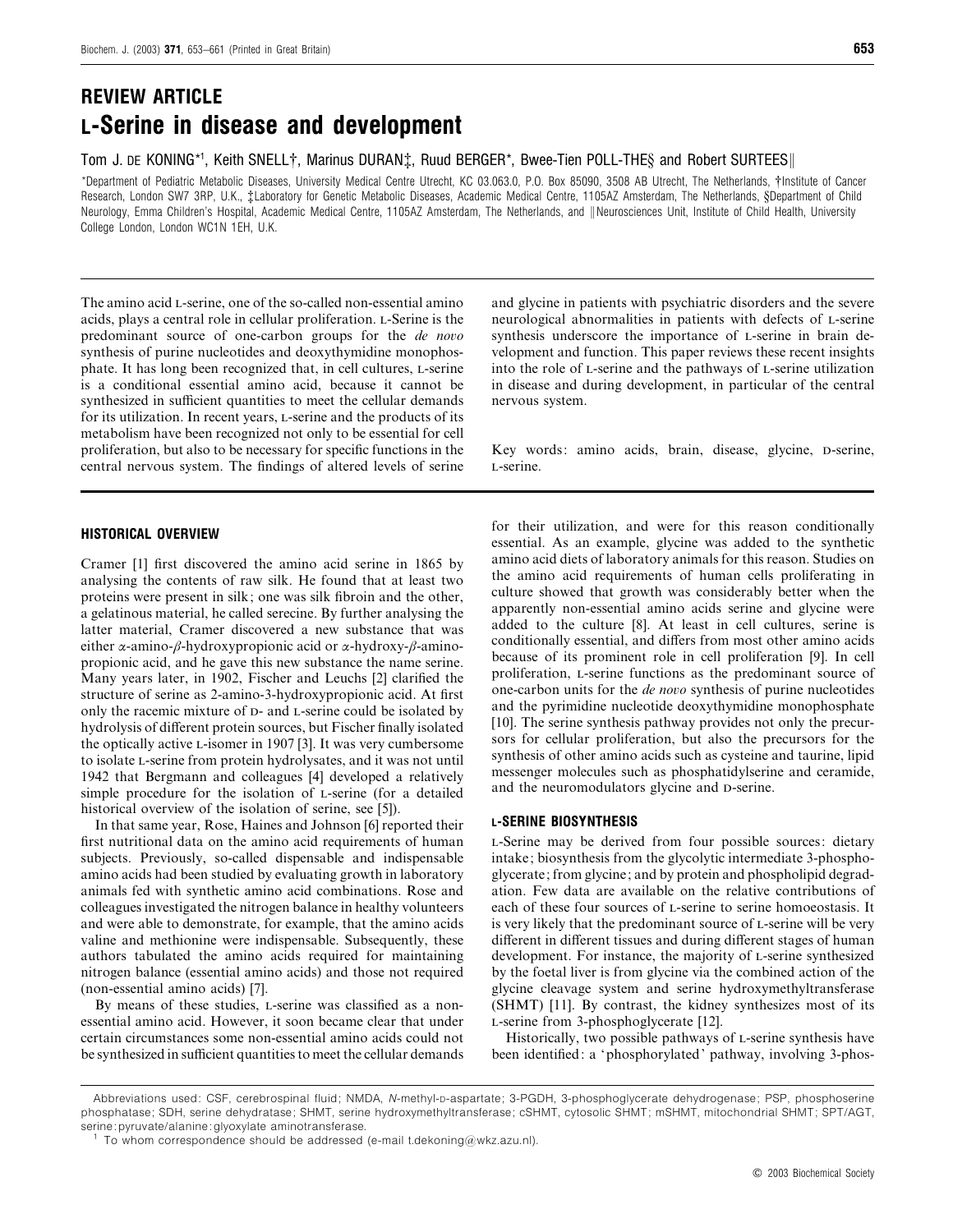# *REVIEW ARTICLE L-Serine in disease and development*

Tom J. DE KONING\*1, Keith SNELL†, Marinus DURAN‡, Ruud BERGER\*, Bwee-Tien POLL-THE§ and Robert SURTEES||

\*Department of Pediatric Metabolic Diseases, University Medical Centre Utrecht, KC 03.063.0, P.O. Box 85090, 3508 AB Utrecht, The Netherlands, †Institute of Cancer Research, London SW7 3RP, U.K., ‡Laboratory for Genetic Metabolic Diseases, Academic Medical Centre, 1105AZ Amsterdam, The Netherlands, §Department of Child Neurology, Emma Children's Hospital, Academic Medical Centre, 1105AZ Amsterdam, The Netherlands, and || Neurosciences Unit, Institute of Child Health, University College London, London WC1N 1EH, U.K.

The amino acid L-serine, one of the so-called non-essential amino acids, plays a central role in cellular proliferation. L-Serine is the predominant source of one-carbon groups for the *de noo* synthesis of purine nucleotides and deoxythymidine monophosphate. It has long been recognized that, in cell cultures, L-serine is a conditional essential amino acid, because it cannot be synthesized in sufficient quantities to meet the cellular demands for its utilization. In recent years, L-serine and the products of its metabolism have been recognized not only to be essential for cell proliferation, but also to be necessary for specific functions in the central nervous system. The findings of altered levels of serine

# *HISTORICAL OVERVIEW*

Cramer [1] first discovered the amino acid serine in 1865 by analysing the contents of raw silk. He found that at least two proteins were present in silk; one was silk fibroin and the other, a gelatinous material, he called serecine. By further analysing the latter material, Cramer discovered a new substance that was either  $\alpha$ -amino- $\beta$ -hydroxypropionic acid or  $\alpha$ -hydroxy- $\beta$ -aminopropionic acid, and he gave this new substance the name serine. Many years later, in 1902, Fischer and Leuchs [2] clarified the structure of serine as 2-amino-3-hydroxypropionic acid. At first only the racemic mixture of  $D$ - and  $L$ -serine could be isolated by hydrolysis of different protein sources, but Fischer finally isolated the optically active L-isomer in 1907 [3]. It was very cumbersome to isolate L-serine from protein hydrolysates, and it was not until 1942 that Bergmann and colleagues [4] developed a relatively simple procedure for the isolation of L-serine (for a detailed historical overview of the isolation of serine, see [5]).

In that same year, Rose, Haines and Johnson [6] reported their first nutritional data on the amino acid requirements of human subjects. Previously, so-called dispensable and indispensable amino acids had been studied by evaluating growth in laboratory animals fed with synthetic amino acid combinations. Rose and colleagues investigated the nitrogen balance in healthy volunteers and were able to demonstrate, for example, that the amino acids valine and methionine were indispensable. Subsequently, these authors tabulated the amino acids required for maintaining nitrogen balance (essential amino acids) and those not required (non-essential amino acids) [7].

By means of these studies, L-serine was classified as a nonessential amino acid. However, it soon became clear that under certain circumstances some non-essential amino acids could not be synthesized in sufficient quantities to meet the cellular demands and glycine in patients with psychiatric disorders and the severe neurological abnormalities in patients with defects of L-serine synthesis underscore the importance of L-serine in brain development and function. This paper reviews these recent insights into the role of L-serine and the pathways of L-serine utilization in disease and during development, in particular of the central nervous system.

Key words: amino acids, brain, disease, glycine, D-serine, -serine.

for their utilization, and were for this reason conditionally essential. As an example, glycine was added to the synthetic amino acid diets of laboratory animals for this reason. Studies on the amino acid requirements of human cells proliferating in culture showed that growth was considerably better when the apparently non-essential amino acids serine and glycine were added to the culture [8]. At least in cell cultures, serine is conditionally essential, and differs from most other amino acids because of its prominent role in cell proliferation [9]. In cell proliferation, L-serine functions as the predominant source of one-carbon units for the *de noo* synthesis of purine nucleotides and the pyrimidine nucleotide deoxythymidine monophosphate [10]. The serine synthesis pathway provides not only the precursors for cellular proliferation, but also the precursors for the synthesis of other amino acids such as cysteine and taurine, lipid messenger molecules such as phosphatidylserine and ceramide, and the neuromodulators glycine and D-serine.

# *L-SERINE BIOSYNTHESIS*

-Serine may be derived from four possible sources: dietary intake; biosynthesis from the glycolytic intermediate 3-phosphoglycerate; from glycine; and by protein and phospholipid degradation. Few data are available on the relative contributions of each of these four sources of L-serine to serine homoeostasis. It is very likely that the predominant source of  $L$ -serine will be very different in different tissues and during different stages of human development. For instance, the majority of L-serine synthesized by the foetal liver is from glycine via the combined action of the glycine cleavage system and serine hydroxymethyltransferase (SHMT) [11]. By contrast, the kidney synthesizes most of its L-serine from 3-phosphoglycerate [12].

Historically, two possible pathways of L-serine synthesis have been identified: a 'phosphorylated' pathway, involving 3-phos-

Abbreviations used: CSF, cerebrospinal fluid; NMDA, N-methyl-D-aspartate; 3-PGDH, 3-phosphoglycerate dehydrogenase; PSP, phosphoserine phosphatase; SDH, serine dehydratase; SHMT, serine hydroxymethyltransferase; cSHMT, cytosolic SHMT; mSHMT, mitochondrial SHMT; SPT/AGT, serine: pyruvate/alanine: glyoxylate aminotransferase.

<sup>&</sup>lt;sup>1</sup> To whom correspondence should be addressed (e-mail t.dekoning @wkz.azu.nl).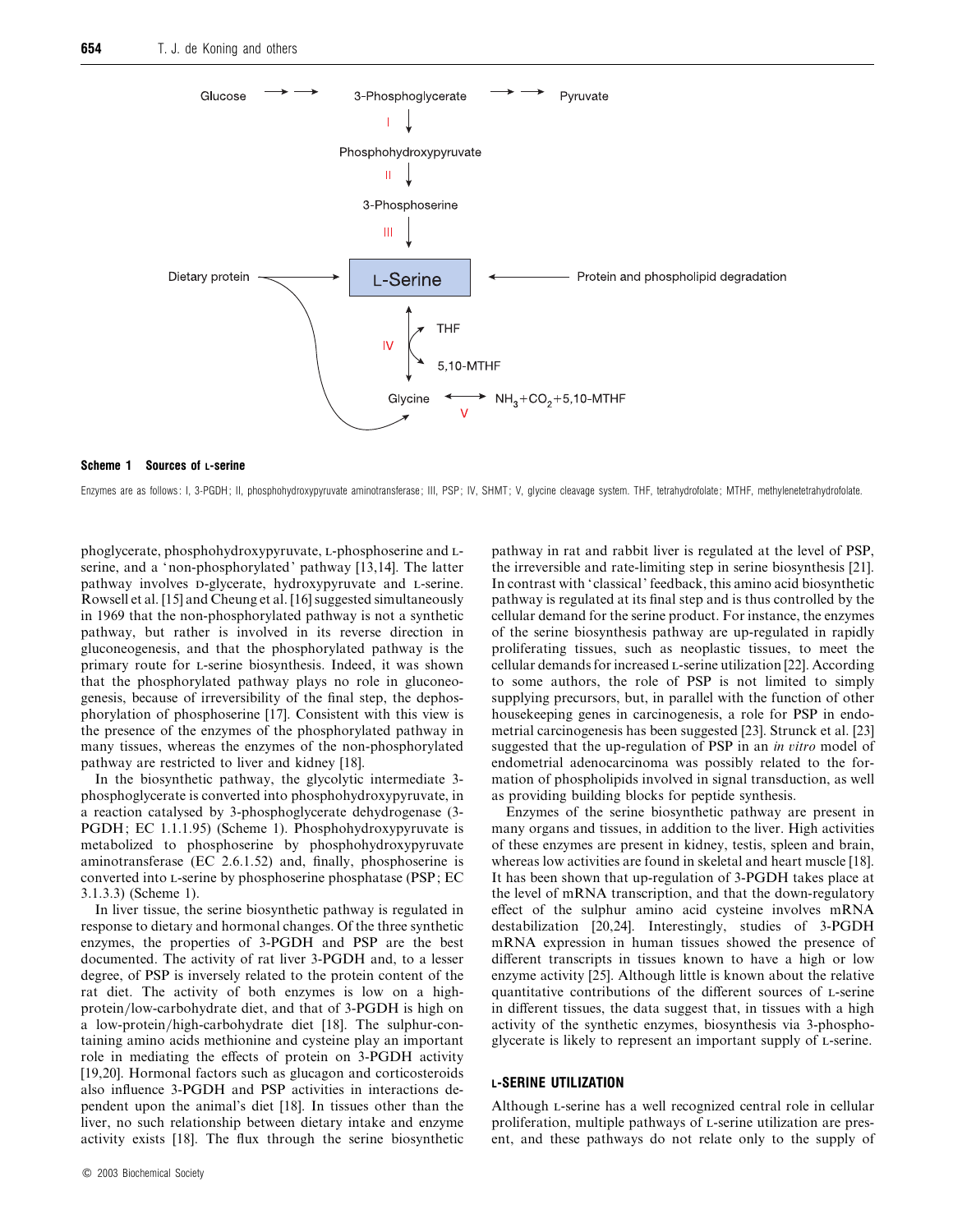

#### *Scheme 1 Sources of L-serine*

Enzymes are as follows: I, 3-PGDH; II, phosphohydroxypyruvate aminotransferase; III, PSP; IV, SHMT; V, glycine cleavage system. THF, tetrahydrofolate; MTHF, methylenetetrahydrofolate.

phoglycerate, phosphohydroxypyruvate, L-phosphoserine and Lserine, and a 'non-phosphorylated' pathway [13,14]. The latter pathway involves D-glycerate, hydroxypyruvate and L-serine. Rowsell et al. [15] and Cheung et al. [16] suggested simultaneously in 1969 that the non-phosphorylated pathway is not a synthetic pathway, but rather is involved in its reverse direction in gluconeogenesis, and that the phosphorylated pathway is the primary route for L-serine biosynthesis. Indeed, it was shown that the phosphorylated pathway plays no role in gluconeogenesis, because of irreversibility of the final step, the dephosphorylation of phosphoserine [17]. Consistent with this view is the presence of the enzymes of the phosphorylated pathway in many tissues, whereas the enzymes of the non-phosphorylated pathway are restricted to liver and kidney [18].

In the biosynthetic pathway, the glycolytic intermediate 3 phosphoglycerate is converted into phosphohydroxypyruvate, in a reaction catalysed by 3-phosphoglycerate dehydrogenase (3- PGDH; EC 1.1.1.95) (Scheme 1). Phosphohydroxypyruvate is metabolized to phosphoserine by phosphohydroxypyruvate aminotransferase (EC 2.6.1.52) and, finally, phosphoserine is converted into L-serine by phosphoserine phosphatase (PSP; EC 3.1.3.3) (Scheme 1).

In liver tissue, the serine biosynthetic pathway is regulated in response to dietary and hormonal changes. Of the three synthetic enzymes, the properties of 3-PGDH and PSP are the best documented. The activity of rat liver 3-PGDH and, to a lesser degree, of PSP is inversely related to the protein content of the rat diet. The activity of both enzymes is low on a highprotein}low-carbohydrate diet, and that of 3-PGDH is high on a low-protein/high-carbohydrate diet [18]. The sulphur-containing amino acids methionine and cysteine play an important role in mediating the effects of protein on 3-PGDH activity [19,20]. Hormonal factors such as glucagon and corticosteroids also influence 3-PGDH and PSP activities in interactions dependent upon the animal's diet [18]. In tissues other than the liver, no such relationship between dietary intake and enzyme activity exists [18]. The flux through the serine biosynthetic

pathway in rat and rabbit liver is regulated at the level of PSP, the irreversible and rate-limiting step in serine biosynthesis [21]. In contrast with 'classical' feedback, this amino acid biosynthetic pathway is regulated at its final step and is thus controlled by the cellular demand for the serine product. For instance, the enzymes of the serine biosynthesis pathway are up-regulated in rapidly proliferating tissues, such as neoplastic tissues, to meet the cellular demands for increased L-serine utilization [22]. According to some authors, the role of PSP is not limited to simply supplying precursors, but, in parallel with the function of other housekeeping genes in carcinogenesis, a role for PSP in endometrial carcinogenesis has been suggested [23]. Strunck et al. [23] suggested that the up-regulation of PSP in an *in itro* model of endometrial adenocarcinoma was possibly related to the formation of phospholipids involved in signal transduction, as well as providing building blocks for peptide synthesis.

Enzymes of the serine biosynthetic pathway are present in many organs and tissues, in addition to the liver. High activities of these enzymes are present in kidney, testis, spleen and brain, whereas low activities are found in skeletal and heart muscle [18]. It has been shown that up-regulation of 3-PGDH takes place at the level of mRNA transcription, and that the down-regulatory effect of the sulphur amino acid cysteine involves mRNA destabilization [20,24]. Interestingly, studies of 3-PGDH mRNA expression in human tissues showed the presence of different transcripts in tissues known to have a high or low enzyme activity [25]. Although little is known about the relative quantitative contributions of the different sources of L-serine in different tissues, the data suggest that, in tissues with a high activity of the synthetic enzymes, biosynthesis via 3-phosphoglycerate is likely to represent an important supply of L-serine.

# *L-SERINE UTILIZATION*

Although L-serine has a well recognized central role in cellular proliferation, multiple pathways of L-serine utilization are present, and these pathways do not relate only to the supply of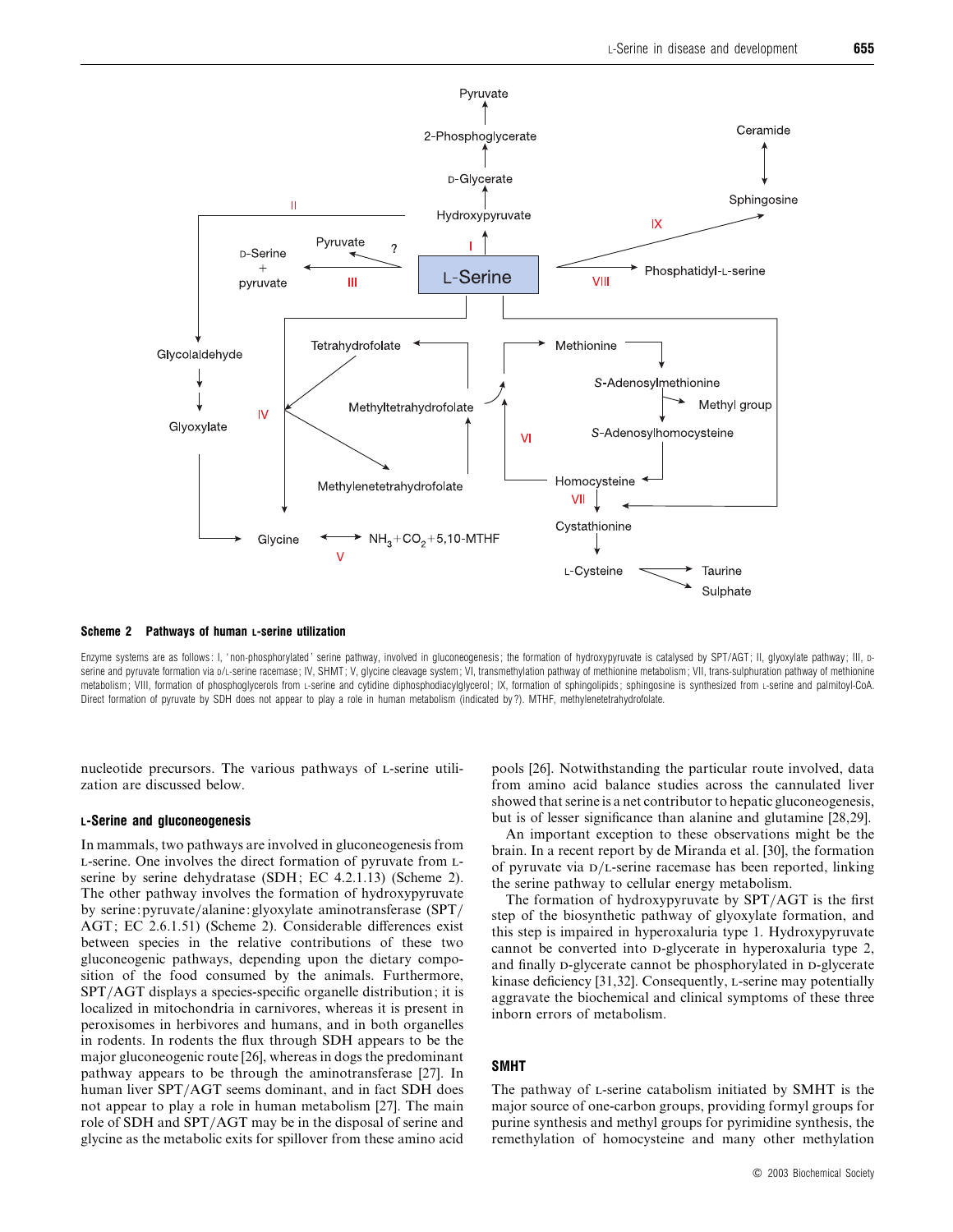

*Scheme 2 Pathways of human L-serine utilization*

Enzyme systems are as follows: I, 'non-phosphorylated' serine pathway, involved in gluconeogenesis; the formation of hydroxypyruvate is catalysed by SPT/AGT; II, glyoxylate pathway; III, Dserine and pyruvate formation via D/L-serine racemase; IV, SHMT; V, glycine cleavage system; VI, transmethylation pathway of methionine metabolism; VII, trans-sulphuration pathway of methionine metabolism; VIII, formation of phosphoglycerols from L-serine and cytidine diphosphodiacylglycerol; IX, formation of sphingolipids; sphingosine is synthesized from L-serine and palmitoyl-CoA. Direct formation of pyruvate by SDH does not appear to play a role in human metabolism (indicated by ?). MTHF, methylenetetrahydrofolate.

nucleotide precursors. The various pathways of L-serine utilization are discussed below.

# *L-Serine and gluconeogenesis*

In mammals, two pathways are involved in gluconeogenesis from L-serine. One involves the direct formation of pyruvate from Lserine by serine dehydratase (SDH; EC 4.2.1.13) (Scheme 2). The other pathway involves the formation of hydroxypyruvate by serine: pyruvate/alanine: glyoxylate aminotransferase (SPT/ AGT; EC 2.6.1.51) (Scheme 2). Considerable differences exist between species in the relative contributions of these two gluconeogenic pathways, depending upon the dietary composition of the food consumed by the animals. Furthermore, SPT/AGT displays a species-specific organelle distribution; it is localized in mitochondria in carnivores, whereas it is present in peroxisomes in herbivores and humans, and in both organelles in rodents. In rodents the flux through SDH appears to be the major gluconeogenic route [26], whereas in dogs the predominant pathway appears to be through the aminotransferase [27]. In human liver SPT/AGT seems dominant, and in fact SDH does not appear to play a role in human metabolism [27]. The main role of SDH and SPT/AGT may be in the disposal of serine and glycine as the metabolic exits for spillover from these amino acid

pools [26]. Notwithstanding the particular route involved, data from amino acid balance studies across the cannulated liver showed that serine is a net contributor to hepatic gluconeogenesis, but is of lesser significance than alanine and glutamine [28,29].

An important exception to these observations might be the brain. In a recent report by de Miranda et al. [30], the formation of pyruvate via  $D/L$ -serine racemase has been reported, linking the serine pathway to cellular energy metabolism.

The formation of hydroxypyruvate by  $SPT/AGT$  is the first step of the biosynthetic pathway of glyoxylate formation, and this step is impaired in hyperoxaluria type 1. Hydroxypyruvate cannot be converted into *p*-glycerate in hyperoxaluria type 2, and finally p-glycerate cannot be phosphorylated in p-glycerate kinase deficiency  $[31,32]$ . Consequently, *L*-serine may potentially aggravate the biochemical and clinical symptoms of these three inborn errors of metabolism.

# *SMHT*

The pathway of *L*-serine catabolism initiated by SMHT is the major source of one-carbon groups, providing formyl groups for purine synthesis and methyl groups for pyrimidine synthesis, the remethylation of homocysteine and many other methylation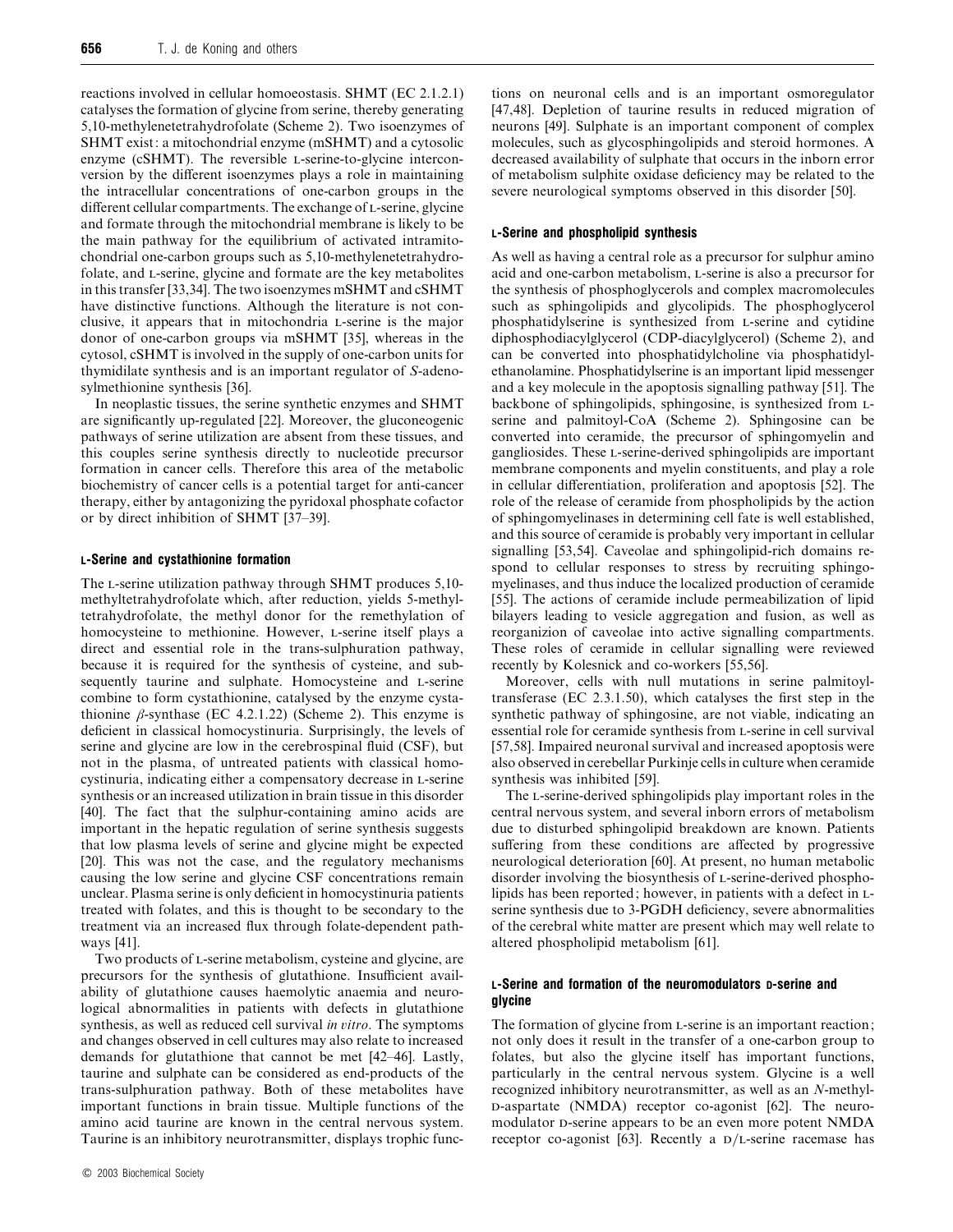reactions involved in cellular homoeostasis. SHMT (EC 2.1.2.1) catalyses the formation of glycine from serine, thereby generating 5,10-methylenetetrahydrofolate (Scheme 2). Two isoenzymes of SHMT exist: a mitochondrial enzyme (mSHMT) and a cytosolic enzyme ( $cSHMT$ ). The reversible  $L$ -serine-to-glycine interconversion by the different isoenzymes plays a role in maintaining the intracellular concentrations of one-carbon groups in the different cellular compartments. The exchange of L-serine, glycine and formate through the mitochondrial membrane is likely to be the main pathway for the equilibrium of activated intramitochondrial one-carbon groups such as 5,10-methylenetetrahydrofolate, and L-serine, glycine and formate are the key metabolites in this transfer [33,34]. The two isoenzymes mSHMT and cSHMT have distinctive functions. Although the literature is not conclusive, it appears that in mitochondria L-serine is the major donor of one-carbon groups via mSHMT [35], whereas in the cytosol, cSHMT is involved in the supply of one-carbon units for thymidilate synthesis and is an important regulator of *S*-adenosylmethionine synthesis [36].

In neoplastic tissues, the serine synthetic enzymes and SHMT are significantly up-regulated [22]. Moreover, the gluconeogenic pathways of serine utilization are absent from these tissues, and this couples serine synthesis directly to nucleotide precursor formation in cancer cells. Therefore this area of the metabolic biochemistry of cancer cells is a potential target for anti-cancer therapy, either by antagonizing the pyridoxal phosphate cofactor or by direct inhibition of SHMT [37–39].

## *L-Serine and cystathionine formation*

The L-serine utilization pathway through SHMT produces 5,10methyltetrahydrofolate which, after reduction, yields 5-methyltetrahydrofolate, the methyl donor for the remethylation of homocysteine to methionine. However, L-serine itself plays a direct and essential role in the trans-sulphuration pathway, because it is required for the synthesis of cysteine, and subsequently taurine and sulphate. Homocysteine and L-serine combine to form cystathionine, catalysed by the enzyme cystathionine  $\beta$ -synthase (EC 4.2.1.22) (Scheme 2). This enzyme is deficient in classical homocystinuria. Surprisingly, the levels of serine and glycine are low in the cerebrospinal fluid (CSF), but not in the plasma, of untreated patients with classical homocystinuria, indicating either a compensatory decrease in L-serine synthesis or an increased utilization in brain tissue in this disorder [40]. The fact that the sulphur-containing amino acids are important in the hepatic regulation of serine synthesis suggests that low plasma levels of serine and glycine might be expected [20]. This was not the case, and the regulatory mechanisms causing the low serine and glycine CSF concentrations remain unclear. Plasma serine is only deficient in homocystinuria patients treated with folates, and this is thought to be secondary to the treatment via an increased flux through folate-dependent pathways [41].

Two products of L-serine metabolism, cysteine and glycine, are precursors for the synthesis of glutathione. Insufficient availability of glutathione causes haemolytic anaemia and neurological abnormalities in patients with defects in glutathione synthesis, as well as reduced cell survival *in itro*. The symptoms and changes observed in cell cultures may also relate to increased demands for glutathione that cannot be met [42–46]. Lastly, taurine and sulphate can be considered as end-products of the trans-sulphuration pathway. Both of these metabolites have important functions in brain tissue. Multiple functions of the amino acid taurine are known in the central nervous system. Taurine is an inhibitory neurotransmitter, displays trophic functions on neuronal cells and is an important osmoregulator [47,48]. Depletion of taurine results in reduced migration of neurons [49]. Sulphate is an important component of complex molecules, such as glycosphingolipids and steroid hormones. A decreased availability of sulphate that occurs in the inborn error of metabolism sulphite oxidase deficiency may be related to the severe neurological symptoms observed in this disorder [50].

#### *L-Serine and phospholipid synthesis*

As well as having a central role as a precursor for sulphur amino acid and one-carbon metabolism, L-serine is also a precursor for the synthesis of phosphoglycerols and complex macromolecules such as sphingolipids and glycolipids. The phosphoglycerol phosphatidylserine is synthesized from L-serine and cytidine diphosphodiacylglycerol (CDP-diacylglycerol) (Scheme 2), and can be converted into phosphatidylcholine via phosphatidylethanolamine. Phosphatidylserine is an important lipid messenger and a key molecule in the apoptosis signalling pathway [51]. The backbone of sphingolipids, sphingosine, is synthesized from serine and palmitoyl-CoA (Scheme 2). Sphingosine can be converted into ceramide, the precursor of sphingomyelin and gangliosides. These L-serine-derived sphingolipids are important membrane components and myelin constituents, and play a role in cellular differentiation, proliferation and apoptosis [52]. The role of the release of ceramide from phospholipids by the action of sphingomyelinases in determining cell fate is well established, and this source of ceramide is probably very important in cellular signalling [53,54]. Caveolae and sphingolipid-rich domains respond to cellular responses to stress by recruiting sphingomyelinases, and thus induce the localized production of ceramide [55]. The actions of ceramide include permeabilization of lipid bilayers leading to vesicle aggregation and fusion, as well as reorganizion of caveolae into active signalling compartments. These roles of ceramide in cellular signalling were reviewed recently by Kolesnick and co-workers [55,56].

Moreover, cells with null mutations in serine palmitoyltransferase (EC 2.3.1.50), which catalyses the first step in the synthetic pathway of sphingosine, are not viable, indicating an essential role for ceramide synthesis from L-serine in cell survival [57,58]. Impaired neuronal survival and increased apoptosis were also observed in cerebellar Purkinje cells in culture when ceramide synthesis was inhibited [59].

The L-serine-derived sphingolipids play important roles in the central nervous system, and several inborn errors of metabolism due to disturbed sphingolipid breakdown are known. Patients suffering from these conditions are affected by progressive neurological deterioration [60]. At present, no human metabolic disorder involving the biosynthesis of L-serine-derived phospholipids has been reported; however, in patients with a defect in  $L$ serine synthesis due to 3-PGDH deficiency, severe abnormalities of the cerebral white matter are present which may well relate to altered phospholipid metabolism [61].

# *L-Serine and formation of the neuromodulators D-serine and glycine*

The formation of glycine from L-serine is an important reaction; not only does it result in the transfer of a one-carbon group to folates, but also the glycine itself has important functions, particularly in the central nervous system. Glycine is a well recognized inhibitory neurotransmitter, as well as an *N*-methyl- -aspartate (NMDA) receptor co-agonist [62]. The neuromodulator D-serine appears to be an even more potent NMDA receptor co-agonist [63]. Recently a  $D/L$ -serine racemase has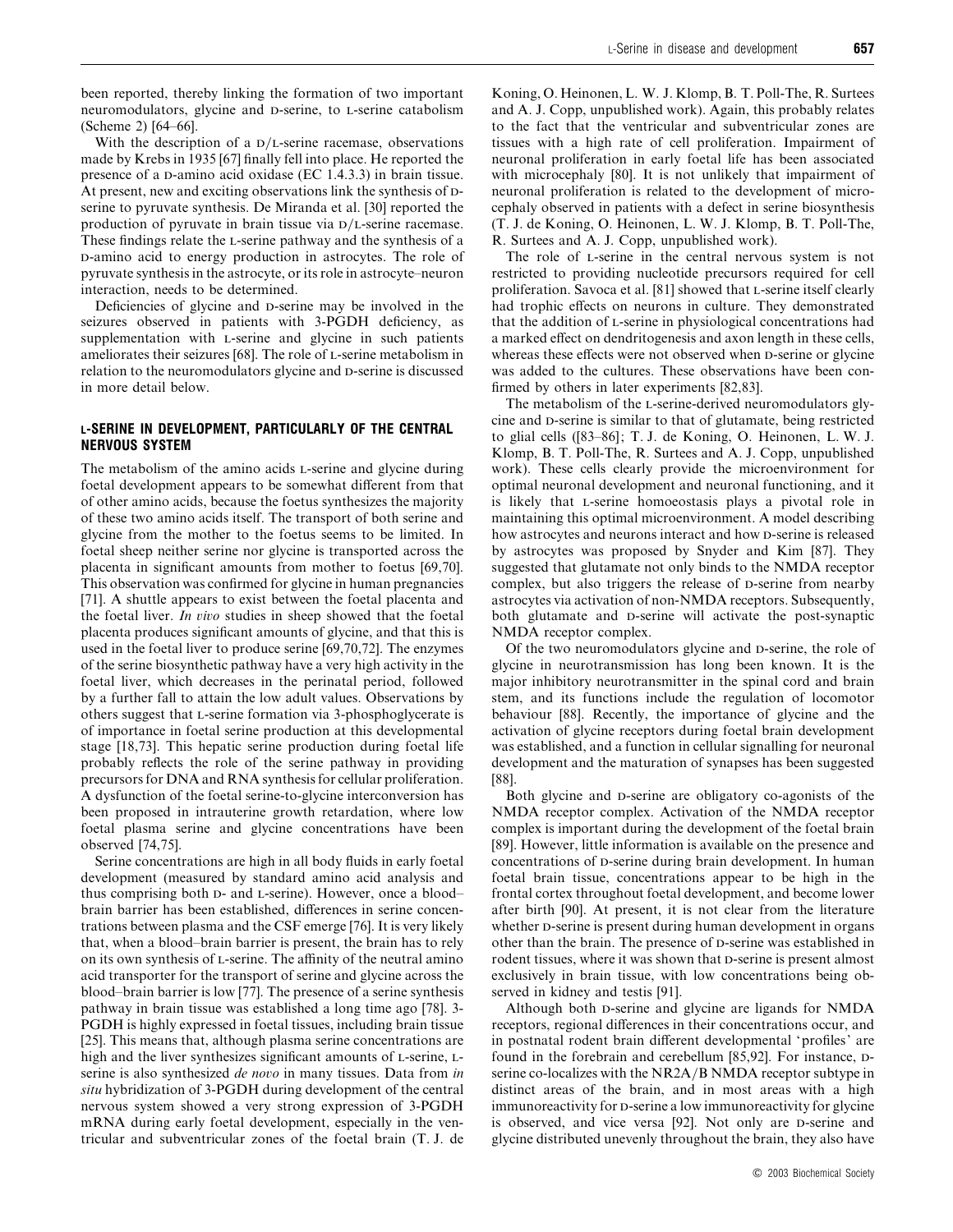been reported, thereby linking the formation of two important neuromodulators, glycine and D-serine, to L-serine catabolism (Scheme 2) [64–66].

With the description of a  $D/L$ -serine racemase, observations made by Krebs in 1935 [67] finally fell into place. He reported the presence of a  $D$ -amino acid oxidase (EC 1.4.3.3) in brain tissue. At present, new and exciting observations link the synthesis of pserine to pyruvate synthesis. De Miranda et al. [30] reported the production of pyruvate in brain tissue via  $D/L$ -serine racemase. These findings relate the L-serine pathway and the synthesis of a -amino acid to energy production in astrocytes. The role of pyruvate synthesis in the astrocyte, or its role in astrocyte–neuron interaction, needs to be determined.

Deficiencies of glycine and D-serine may be involved in the seizures observed in patients with 3-PGDH deficiency, as supplementation with L-serine and glycine in such patients ameliorates their seizures [68]. The role of L-serine metabolism in relation to the neuromodulators glycine and D-serine is discussed in more detail below.

# *L-SERINE IN DEVELOPMENT, PARTICULARLY OF THE CENTRAL NERVOUS SYSTEM*

The metabolism of the amino acids L-serine and glycine during foetal development appears to be somewhat different from that of other amino acids, because the foetus synthesizes the majority of these two amino acids itself. The transport of both serine and glycine from the mother to the foetus seems to be limited. In foetal sheep neither serine nor glycine is transported across the placenta in significant amounts from mother to foetus [69,70]. This observation was confirmed for glycine in human pregnancies [71]. A shuttle appears to exist between the foetal placenta and the foetal liver. *In io* studies in sheep showed that the foetal placenta produces significant amounts of glycine, and that this is used in the foetal liver to produce serine [69,70,72]. The enzymes of the serine biosynthetic pathway have a very high activity in the foetal liver, which decreases in the perinatal period, followed by a further fall to attain the low adult values. Observations by others suggest that L-serine formation via 3-phosphoglycerate is of importance in foetal serine production at this developmental stage [18,73]. This hepatic serine production during foetal life probably reflects the role of the serine pathway in providing precursors for DNA and RNA synthesis for cellular proliferation. A dysfunction of the foetal serine-to-glycine interconversion has been proposed in intrauterine growth retardation, where low foetal plasma serine and glycine concentrations have been observed [74,75].

Serine concentrations are high in all body fluids in early foetal development (measured by standard amino acid analysis and thus comprising both  $D$ - and  $L$ -serine). However, once a blood– brain barrier has been established, differences in serine concentrations between plasma and the CSF emerge [76]. It is very likely that, when a blood–brain barrier is present, the brain has to rely on its own synthesis of L-serine. The affinity of the neutral amino acid transporter for the transport of serine and glycine across the blood–brain barrier is low [77]. The presence of a serine synthesis pathway in brain tissue was established a long time ago [78]. 3- PGDH is highly expressed in foetal tissues, including brain tissue [25]. This means that, although plasma serine concentrations are high and the liver synthesizes significant amounts of L-serine, Lserine is also synthesized *de noo* in many tissues. Data from *in situ* hybridization of 3-PGDH during development of the central nervous system showed a very strong expression of 3-PGDH mRNA during early foetal development, especially in the ventricular and subventricular zones of the foetal brain (T. J. de Koning, O. Heinonen, L. W. J. Klomp, B. T. Poll-The, R. Surtees and A. J. Copp, unpublished work). Again, this probably relates to the fact that the ventricular and subventricular zones are tissues with a high rate of cell proliferation. Impairment of neuronal proliferation in early foetal life has been associated with microcephaly [80]. It is not unlikely that impairment of neuronal proliferation is related to the development of microcephaly observed in patients with a defect in serine biosynthesis (T. J. de Koning, O. Heinonen, L. W. J. Klomp, B. T. Poll-The, R. Surtees and A. J. Copp, unpublished work).

The role of L-serine in the central nervous system is not restricted to providing nucleotide precursors required for cell proliferation. Savoca et al. [81] showed that L-serine itself clearly had trophic effects on neurons in culture. They demonstrated that the addition of L-serine in physiological concentrations had a marked effect on dendritogenesis and axon length in these cells, whereas these effects were not observed when  $D$ -serine or glycine was added to the cultures. These observations have been confirmed by others in later experiments [82,83].

The metabolism of the L-serine-derived neuromodulators glycine and D-serine is similar to that of glutamate, being restricted to glial cells ([83–86]; T. J. de Koning, O. Heinonen, L. W. J. Klomp, B. T. Poll-The, R. Surtees and A. J. Copp, unpublished work). These cells clearly provide the microenvironment for optimal neuronal development and neuronal functioning, and it is likely that *L*-serine homoeostasis plays a pivotal role in maintaining this optimal microenvironment. A model describing how astrocytes and neurons interact and how p-serine is released by astrocytes was proposed by Snyder and Kim [87]. They suggested that glutamate not only binds to the NMDA receptor complex, but also triggers the release of p-serine from nearby astrocytes via activation of non-NMDA receptors. Subsequently, both glutamate and p-serine will activate the post-synaptic NMDA receptor complex.

Of the two neuromodulators glycine and D-serine, the role of glycine in neurotransmission has long been known. It is the major inhibitory neurotransmitter in the spinal cord and brain stem, and its functions include the regulation of locomotor behaviour [88]. Recently, the importance of glycine and the activation of glycine receptors during foetal brain development was established, and a function in cellular signalling for neuronal development and the maturation of synapses has been suggested [88].

Both glycine and D-serine are obligatory co-agonists of the NMDA receptor complex. Activation of the NMDA receptor complex is important during the development of the foetal brain [89]. However, little information is available on the presence and concentrations of D-serine during brain development. In human foetal brain tissue, concentrations appear to be high in the frontal cortex throughout foetal development, and become lower after birth [90]. At present, it is not clear from the literature whether  $\Delta$ -serine is present during human development in organs other than the brain. The presence of p-serine was established in rodent tissues, where it was shown that D-serine is present almost exclusively in brain tissue, with low concentrations being observed in kidney and testis [91].

Although both D-serine and glycine are ligands for NMDA receptors, regional differences in their concentrations occur, and in postnatal rodent brain different developmental 'profiles' are found in the forebrain and cerebellum [85,92]. For instance, Dserine co-localizes with the NR2A/B NMDA receptor subtype in distinct areas of the brain, and in most areas with a high immunoreactivity for D-serine a low immunoreactivity for glycine is observed, and vice versa [92]. Not only are D-serine and glycine distributed unevenly throughout the brain, they also have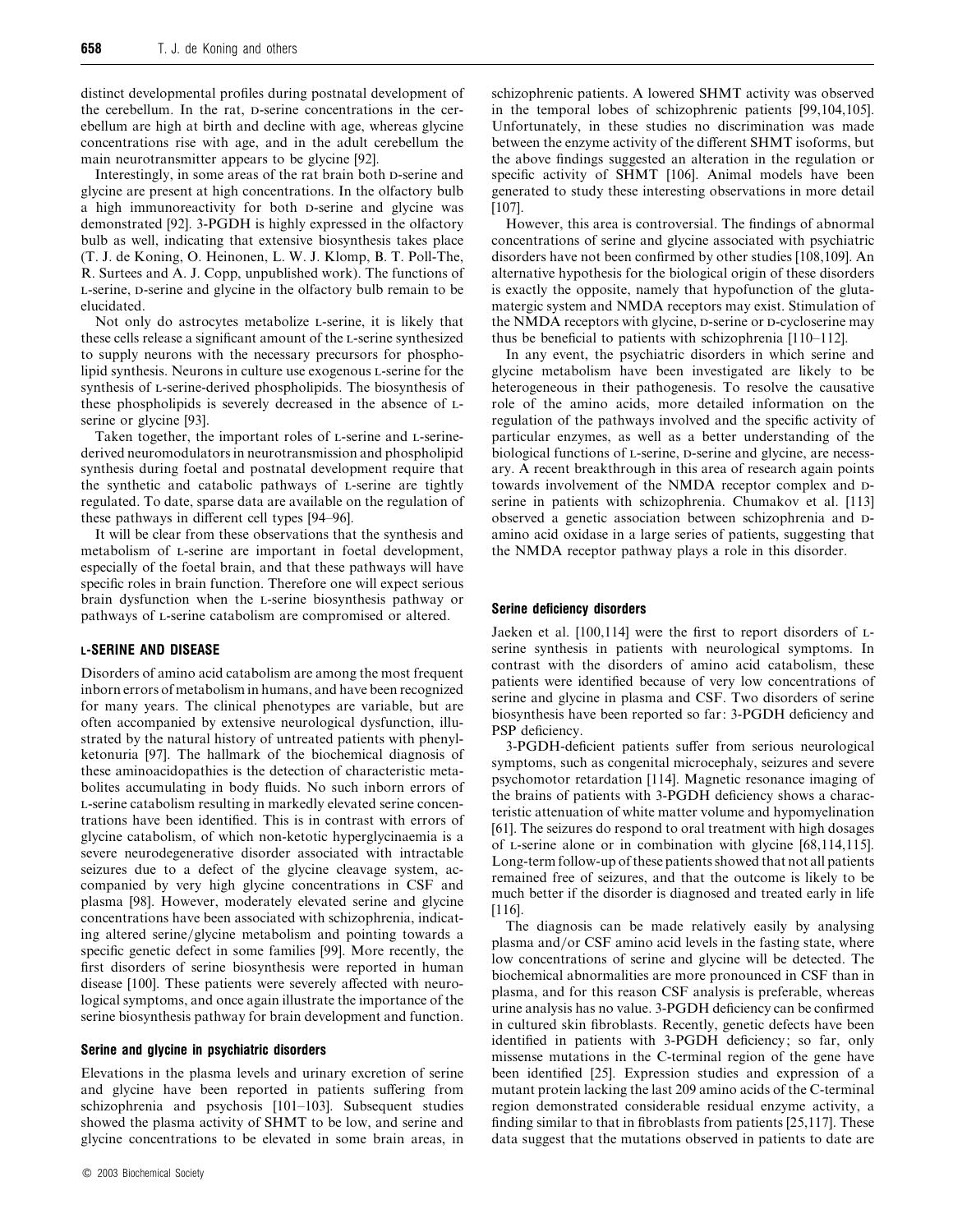distinct developmental profiles during postnatal development of the cerebellum. In the rat, p-serine concentrations in the cerebellum are high at birth and decline with age, whereas glycine concentrations rise with age, and in the adult cerebellum the main neurotransmitter appears to be glycine [92].

Interestingly, in some areas of the rat brain both  $\Delta$ -serine and glycine are present at high concentrations. In the olfactory bulb a high immunoreactivity for both p-serine and glycine was demonstrated [92]. 3-PGDH is highly expressed in the olfactory bulb as well, indicating that extensive biosynthesis takes place (T. J. de Koning, O. Heinonen, L. W. J. Klomp, B. T. Poll-The, R. Surtees and A. J. Copp, unpublished work). The functions of L-serine, D-serine and glycine in the olfactory bulb remain to be elucidated.

Not only do astrocytes metabolize L-serine, it is likely that these cells release a significant amount of the L-serine synthesized to supply neurons with the necessary precursors for phospholipid synthesis. Neurons in culture use exogenous L-serine for the synthesis of L-serine-derived phospholipids. The biosynthesis of these phospholipids is severely decreased in the absence of Lserine or glycine [93].

Taken together, the important roles of L-serine and L-serinederived neuromodulators in neurotransmission and phospholipid synthesis during foetal and postnatal development require that the synthetic and catabolic pathways of L-serine are tightly regulated. To date, sparse data are available on the regulation of these pathways in different cell types [94–96].

It will be clear from these observations that the synthesis and metabolism of *L*-serine are important in foetal development, especially of the foetal brain, and that these pathways will have specific roles in brain function. Therefore one will expect serious brain dysfunction when the -serine biosynthesis pathway or pathways of L-serine catabolism are compromised or altered.

# *L-SERINE AND DISEASE*

Disorders of amino acid catabolism are among the most frequent inborn errors of metabolism in humans, and have been recognized for many years. The clinical phenotypes are variable, but are often accompanied by extensive neurological dysfunction, illustrated by the natural history of untreated patients with phenylketonuria [97]. The hallmark of the biochemical diagnosis of these aminoacidopathies is the detection of characteristic metabolites accumulating in body fluids. No such inborn errors of -serine catabolism resulting in markedly elevated serine concentrations have been identified. This is in contrast with errors of glycine catabolism, of which non-ketotic hyperglycinaemia is a severe neurodegenerative disorder associated with intractable seizures due to a defect of the glycine cleavage system, accompanied by very high glycine concentrations in CSF and plasma [98]. However, moderately elevated serine and glycine concentrations have been associated with schizophrenia, indicating altered serine/glycine metabolism and pointing towards a specific genetic defect in some families [99]. More recently, the first disorders of serine biosynthesis were reported in human disease [100]. These patients were severely affected with neurological symptoms, and once again illustrate the importance of the serine biosynthesis pathway for brain development and function.

# *Serine and glycine in psychiatric disorders*

Elevations in the plasma levels and urinary excretion of serine and glycine have been reported in patients suffering from schizophrenia and psychosis [101–103]. Subsequent studies showed the plasma activity of SHMT to be low, and serine and glycine concentrations to be elevated in some brain areas, in schizophrenic patients. A lowered SHMT activity was observed in the temporal lobes of schizophrenic patients [99,104,105]. Unfortunately, in these studies no discrimination was made between the enzyme activity of the different SHMT isoforms, but the above findings suggested an alteration in the regulation or specific activity of SHMT [106]. Animal models have been generated to study these interesting observations in more detail [107].

However, this area is controversial. The findings of abnormal concentrations of serine and glycine associated with psychiatric disorders have not been confirmed by other studies [108,109]. An alternative hypothesis for the biological origin of these disorders is exactly the opposite, namely that hypofunction of the glutamatergic system and NMDA receptors may exist. Stimulation of the NMDA receptors with glycine, D-serine or D-cycloserine may thus be beneficial to patients with schizophrenia [110–112].

In any event, the psychiatric disorders in which serine and glycine metabolism have been investigated are likely to be heterogeneous in their pathogenesis. To resolve the causative role of the amino acids, more detailed information on the regulation of the pathways involved and the specific activity of particular enzymes, as well as a better understanding of the biological functions of L-serine, D-serine and glycine, are necessary. A recent breakthrough in this area of research again points towards involvement of the NMDA receptor complex and Dserine in patients with schizophrenia. Chumakov et al. [113] observed a genetic association between schizophrenia and  $D$ amino acid oxidase in a large series of patients, suggesting that the NMDA receptor pathway plays a role in this disorder.

## *Serine deficiency disorders*

Jaeken et al.  $[100, 114]$  were the first to report disorders of  $L$ serine synthesis in patients with neurological symptoms. In contrast with the disorders of amino acid catabolism, these patients were identified because of very low concentrations of serine and glycine in plasma and CSF. Two disorders of serine biosynthesis have been reported so far: 3-PGDH deficiency and PSP deficiency.

3-PGDH-deficient patients suffer from serious neurological symptoms, such as congenital microcephaly, seizures and severe psychomotor retardation [114]. Magnetic resonance imaging of the brains of patients with 3-PGDH deficiency shows a characteristic attenuation of white matter volume and hypomyelination [61]. The seizures do respond to oral treatment with high dosages of  $L$ -serine alone or in combination with glycine  $[68, 114, 115]$ . Long-term follow-up of these patients showed that not all patients remained free of seizures, and that the outcome is likely to be much better if the disorder is diagnosed and treated early in life [116].

The diagnosis can be made relatively easily by analysing plasma and/or CSF amino acid levels in the fasting state, where low concentrations of serine and glycine will be detected. The biochemical abnormalities are more pronounced in CSF than in plasma, and for this reason CSF analysis is preferable, whereas urine analysis has no value. 3-PGDH deficiency can be confirmed in cultured skin fibroblasts. Recently, genetic defects have been identified in patients with 3-PGDH deficiency; so far, only missense mutations in the C-terminal region of the gene have been identified [25]. Expression studies and expression of a mutant protein lacking the last 209 amino acids of the C-terminal region demonstrated considerable residual enzyme activity, a finding similar to that in fibroblasts from patients [25,117]. These data suggest that the mutations observed in patients to date are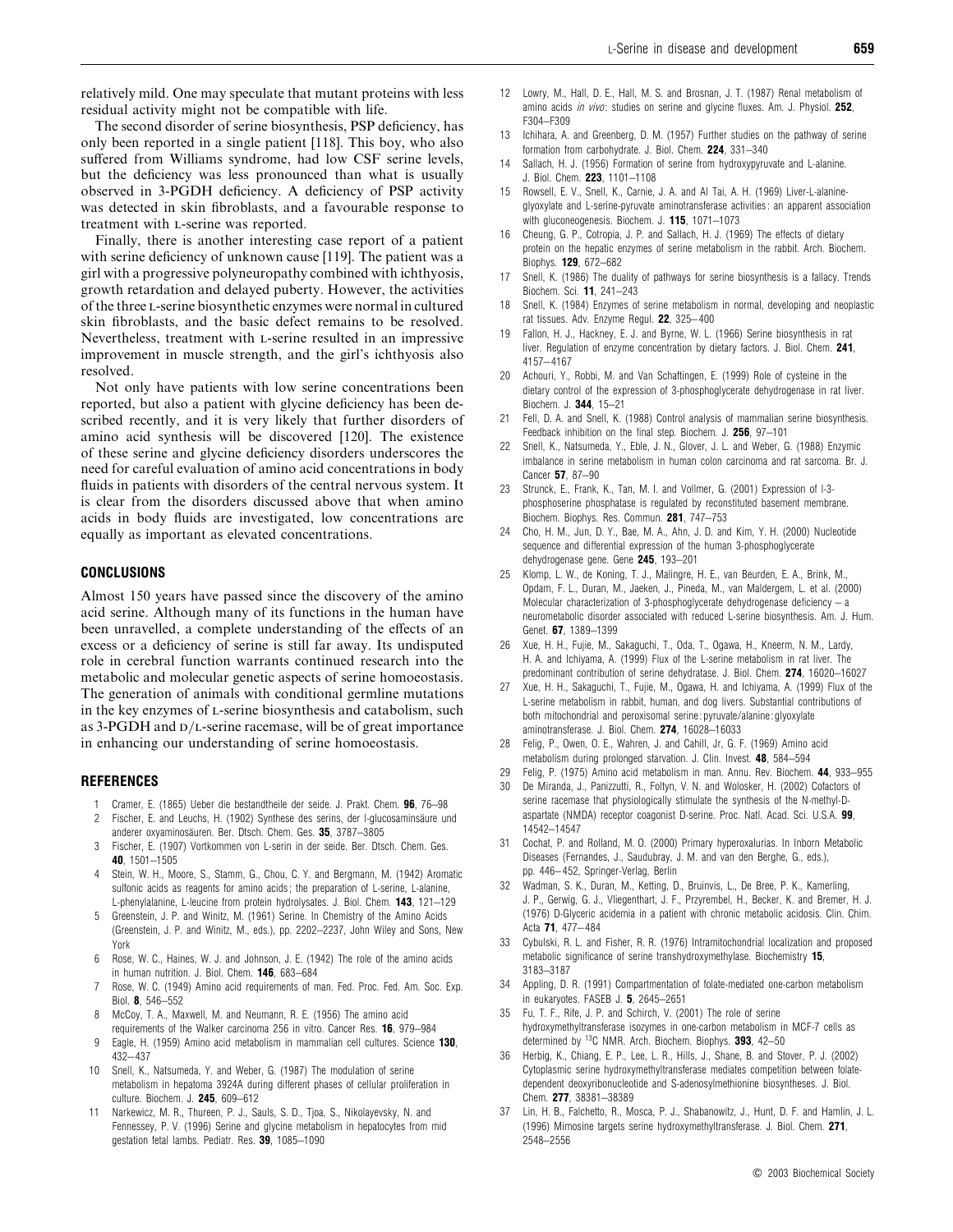relatively mild. One may speculate that mutant proteins with less residual activity might not be compatible with life.

The second disorder of serine biosynthesis, PSP deficiency, has only been reported in a single patient [118]. This boy, who also suffered from Williams syndrome, had low CSF serine levels, but the deficiency was less pronounced than what is usually observed in 3-PGDH deficiency. A deficiency of PSP activity was detected in skin fibroblasts, and a favourable response to treatment with L-serine was reported.

Finally, there is another interesting case report of a patient with serine deficiency of unknown cause [119]. The patient was a girl with a progressive polyneuropathy combined with ichthyosis, growth retardation and delayed puberty. However, the activities of the three L-serine biosynthetic enzymes were normal in cultured skin fibroblasts, and the basic defect remains to be resolved. Nevertheless, treatment with L-serine resulted in an impressive improvement in muscle strength, and the girl's ichthyosis also resolved.

Not only have patients with low serine concentrations been reported, but also a patient with glycine deficiency has been described recently, and it is very likely that further disorders of amino acid synthesis will be discovered [120]. The existence of these serine and glycine deficiency disorders underscores the need for careful evaluation of amino acid concentrations in body fluids in patients with disorders of the central nervous system. It is clear from the disorders discussed above that when amino acids in body fluids are investigated, low concentrations are equally as important as elevated concentrations.

# *CONCLUSIONS*

Almost 150 years have passed since the discovery of the amino acid serine. Although many of its functions in the human have been unravelled, a complete understanding of the effects of an excess or a deficiency of serine is still far away. Its undisputed role in cerebral function warrants continued research into the metabolic and molecular genetic aspects of serine homoeostasis. The generation of animals with conditional germline mutations in the key enzymes of L-serine biosynthesis and catabolism, such as  $3$ -PGDH and  $D/L$ -serine racemase, will be of great importance in enhancing our understanding of serine homoeostasis.

### *REFERENCES*

- 1 Cramer, E. (1865) Ueber die bestandtheile der seide. J. Prakt. Chem. *96*, 76–98 2 Fischer, E. and Leuchs, H. (1902) Synthese des serins, der l-glucosaminsäure und
- anderer oxyaminosäuren. Ber. Dtsch. Chem. Ges. 35, 3787-3805 Fischer, E. (1907) Vortkommen von L-serin in der seide. Ber. Dtsch. Chem. Ges.
- *40*, 1501–1505
- 4 Stein, W. H., Moore, S., Stamm, G., Chou, C. Y. and Bergmann, M. (1942) Aromatic sulfonic acids as reagents for amino acids ; the preparation of L-serine, L-alanine, L-phenylalanine, L-leucine from protein hydrolysates. J. Biol. Chem. *143*, 121–129
- 5 Greenstein, J. P. and Winitz, M. (1961) Serine. In Chemistry of the Amino Acids (Greenstein, J. P. and Winitz, M., eds.), pp. 2202–2237, John Wiley and Sons, New York
- 6 Rose, W. C., Haines, W. J. and Johnson, J. E. (1942) The role of the amino acids in human nutrition. J. Biol. Chem. *146*, 683–684
- 7 Rose, W. C. (1949) Amino acid requirements of man. Fed. Proc. Fed. Am. Soc. Exp. Biol. *8*, 546–552
- 8 McCoy, T. A., Maxwell, M. and Neumann, R. E. (1956) The amino acid requirements of the Walker carcinoma 256 in vitro. Cancer Res. *16*, 979–984
- 9 Eagle, H. (1959) Amino acid metabolism in mammalian cell cultures. Science *130*, 432– 437
- 10 Snell, K., Natsumeda, Y. and Weber, G. (1987) The modulation of serine metabolism in hepatoma 3924A during different phases of cellular proliferation in culture. Biochem. J. *245*, 609–612
- Narkewicz, M. R., Thureen, P. J., Sauls, S. D., Tjoa, S., Nikolayevsky, N. and Fennessey, P. V. (1996) Serine and glycine metabolism in hepatocytes from mid gestation fetal lambs. Pediatr. Res. *39*, 1085–1090
- 12 Lowry, M., Hall, D. E., Hall, M. S. and Brosnan, J. T. (1987) Renal metabolism of amino acids *in vivo*: studies on serine and glycine fluxes. Am. J. Physiol. *252*, F304–F309
- 13 Ichihara, A. and Greenberg, D. M. (1957) Further studies on the pathway of serine formation from carbohydrate. J. Biol. Chem. *224*, 331–340
- 14 Sallach, H. J. (1956) Formation of serine from hydroxypyruvate and L-alanine. J. Biol. Chem. *223*, 1101–1108
- 15 Rowsell, E. V., Snell, K., Carnie, J. A. and Al Tai, A. H. (1969) Liver-L-alanineglyoxylate and L-serine-pyruvate aminotransferase activities : an apparent association with gluconeogenesis. Biochem. J. *115*, 1071–1073
- 16 Cheung, G. P., Cotropia, J. P. and Sallach, H. J. (1969) The effects of dietary protein on the hepatic enzymes of serine metabolism in the rabbit. Arch. Biochem. Biophys. *129*, 672–682
- 17 Snell, K. (1986) The duality of pathways for serine biosynthesis is a fallacy. Trends Biochem. Sci. *11*, 241–243
- 18 Snell, K. (1984) Enzymes of serine metabolism in normal, developing and neoplastic rat tissues. Adv. Enzyme Regul. *22*, 325– 400
- 19 Fallon, H. J., Hackney, E. J. and Byrne, W. L. (1966) Serine biosynthesis in rat liver. Regulation of enzyme concentration by dietary factors. J. Biol. Chem. *241*, 4157– 4167
- 20 Achouri, Y., Robbi, M. and Van Schaftingen, E. (1999) Role of cysteine in the dietary control of the expression of 3-phosphoglycerate dehydrogenase in rat liver. Biochem. J. *344*, 15–21
- Fell, D. A. and Snell, K. (1988) Control analysis of mammalian serine biosynthesis. Feedback inhibition on the final step. Biochem. J. *256*, 97–101
- 22 Snell, K., Natsumeda, Y., Eble, J. N., Glover, J. L. and Weber, G. (1988) Enzymic imbalance in serine metabolism in human colon carcinoma and rat sarcoma. Br. J. Cancer *57*, 87–90
- 23 Strunck, E., Frank, K., Tan, M. I. and Vollmer, G. (2001) Expression of l-3 phosphoserine phosphatase is regulated by reconstituted basement membrane. Biochem. Biophys. Res. Commun. *281*, 747–753
- 24 Cho, H. M., Jun, D. Y., Bae, M. A., Ahn, J. D. and Kim, Y. H. (2000) Nucleotide sequence and differential expression of the human 3-phosphoglycerate dehydrogenase gene. Gene *245*, 193–201
- 25 Klomp, L. W., de Koning, T. J., Malingre, H. E., van Beurden, E. A., Brink, M., Opdam, F. L., Duran, M., Jaeken, J., Pineda, M., van Maldergem, L. et al. (2000) Molecular characterization of 3-phosphoglycerate dehydrogenase deficiency – a neurometabolic disorder associated with reduced L-serine biosynthesis. Am. J. Hum. Genet. *67*, 1389–1399
- 26 Xue, H. H., Fujie, M., Sakaguchi, T., Oda, T., Ogawa, H., Kneerm, N. M., Lardy, H. A. and Ichiyama, A. (1999) Flux of the L-serine metabolism in rat liver. The predominant contribution of serine dehydratase. J. Biol. Chem. *274*, 16020–16027
- 27 Xue, H. H., Sakaguchi, T., Fujie, M., Ogawa, H. and Ichiyama, A. (1999) Flux of the L-serine metabolism in rabbit, human, and dog livers. Substantial contributions of both mitochondrial and peroxisomal serine : pyruvate/alanine : glyoxylate aminotransferase. J. Biol. Chem. *274*, 16028–16033
- 28 Felig, P., Owen, O. E., Wahren, J. and Cahill, Jr, G. F. (1969) Amino acid metabolism during prolonged starvation. J. Clin. Invest. *48*, 584–594
- 29 Felig, P. (1975) Amino acid metabolism in man. Annu. Rev. Biochem. *44*, 933–955
- 30 De Miranda, J., Panizzutti, R., Foltyn, V. N. and Wolosker, H. (2002) Cofactors of serine racemase that physiologically stimulate the synthesis of the N-methyl-Daspartate (NMDA) receptor coagonist D-serine. Proc. Natl. Acad. Sci. U.S.A. *99*, 14542–14547
- 31 Cochat, P. and Rolland, M. O. (2000) Primary hyperoxalurias. In Inborn Metabolic Diseases (Fernandes, J., Saudubray, J. M. and van den Berghe, G., eds.), pp. 446– 452, Springer-Verlag, Berlin
- 32 Wadman, S. K., Duran, M., Ketting, D., Bruinvis, L., De Bree, P. K., Kamerling, J. P., Gerwig, G. J., Vliegenthart, J. F., Przyrembel, H., Becker, K. and Bremer, H. J. (1976) D-Glyceric acidemia in a patient with chronic metabolic acidosis. Clin. Chim. Acta *71*, 477– 484
- 33 Cybulski, R. L. and Fisher, R. R. (1976) Intramitochondrial localization and proposed metabolic significance of serine transhydroxymethylase. Biochemistry *15*, 3183–3187
- 34 Appling, D. R. (1991) Compartmentation of folate-mediated one-carbon metabolism in eukaryotes. FASEB J. *5*, 2645–2651
- 35 Fu, T. F., Rife, J. P. and Schirch, V. (2001) The role of serine hydroxymethyltransferase isozymes in one-carbon metabolism in MCF-7 cells as determined by 13C NMR. Arch. Biochem. Biophys. *393*, 42–50
- 36 Herbig, K., Chiang, E. P., Lee, L. R., Hills, J., Shane, B. and Stover, P. J. (2002) Cytoplasmic serine hydroxymethyltransferase mediates competition between folatedependent deoxyribonucleotide and S-adenosylmethionine biosyntheses. J. Biol. Chem. *277*, 38381–38389
- Lin, H. B., Falchetto, R., Mosca, P. J., Shabanowitz, J., Hunt, D. F. and Hamlin, J. L. (1996) Mimosine targets serine hydroxymethyltransferase. J. Biol. Chem. *271*, 2548–2556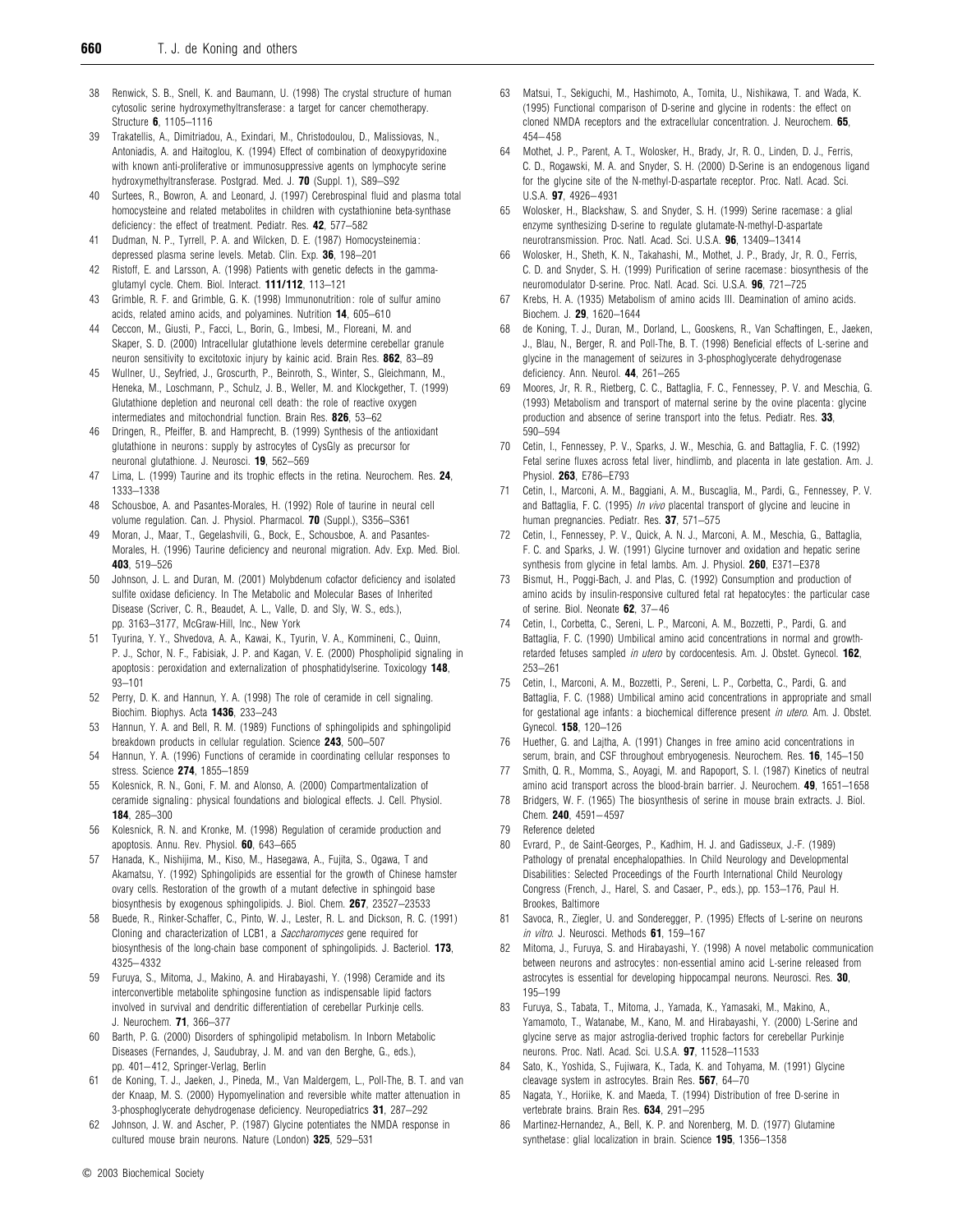- 38 Renwick, S. B., Snell, K. and Baumann, U. (1998) The crystal structure of human cytosolic serine hydroxymethyltransferase : a target for cancer chemotherapy. Structure *6*, 1105–1116
- 39 Trakatellis, A., Dimitriadou, A., Exindari, M., Christodoulou, D., Malissiovas, N., Antoniadis, A. and Haitoglou, K. (1994) Effect of combination of deoxypyridoxine with known anti-proliferative or immunosuppressive agents on lymphocyte serine hydroxymethyltransferase. Postgrad. Med. J. *70* (Suppl. 1), S89–S92
- 40 Surtees, R., Bowron, A. and Leonard, J. (1997) Cerebrospinal fluid and plasma total homocysteine and related metabolites in children with cystathionine beta-synthase deficiency : the effect of treatment. Pediatr. Res. *42*, 577–582
- 41 Dudman, N. P., Tyrrell, P. A. and Wilcken, D. E. (1987) Homocysteinemia : depressed plasma serine levels. Metab. Clin. Exp. *36*, 198–201
- 42 Ristoff, E. and Larsson, A. (1998) Patients with genetic defects in the gammaglutamyl cycle. Chem. Biol. Interact. *111/112*, 113–121
- 43 Grimble, R. F. and Grimble, G. K. (1998) Immunonutrition : role of sulfur amino acids, related amino acids, and polyamines. Nutrition *14*, 605–610
- 44 Ceccon, M., Giusti, P., Facci, L., Borin, G., Imbesi, M., Floreani, M. and Skaper, S. D. (2000) Intracellular glutathione levels determine cerebellar granule neuron sensitivity to excitotoxic injury by kainic acid. Brain Res. *862*, 83–89
- 45 Wullner, U., Seyfried, J., Groscurth, P., Beinroth, S., Winter, S., Gleichmann, M., Heneka, M., Loschmann, P., Schulz, J. B., Weller, M. and Klockgether, T. (1999) Glutathione depletion and neuronal cell death: the role of reactive oxygen intermediates and mitochondrial function. Brain Res. *826*, 53–62
- 46 Dringen, R., Pfeiffer, B. and Hamprecht, B. (1999) Synthesis of the antioxidant glutathione in neurons: supply by astrocytes of CysGly as precursor for neuronal glutathione. J. Neurosci. *19*, 562–569
- 47 Lima, L. (1999) Taurine and its trophic effects in the retina. Neurochem. Res. *24*, 1333–1338
- 48 Schousboe, A. and Pasantes-Morales, H. (1992) Role of taurine in neural cell volume regulation. Can. J. Physiol. Pharmacol. *70* (Suppl.), S356–S361
- 49 Moran, J., Maar, T., Gegelashvili, G., Bock, E., Schousboe, A. and Pasantes-Morales, H. (1996) Taurine deficiency and neuronal migration. Adv. Exp. Med. Biol. *403*, 519–526
- 50 Johnson, J. L. and Duran, M. (2001) Molybdenum cofactor deficiency and isolated sulfite oxidase deficiency. In The Metabolic and Molecular Bases of Inherited Disease (Scriver, C. R., Beaudet, A. L., Valle, D. and Sly, W. S., eds.), pp. 3163–3177, McGraw-Hill, Inc., New York
- 51 Tyurina, Y. Y., Shvedova, A. A., Kawai, K., Tyurin, V. A., Kommineni, C., Quinn, P. J., Schor, N. F., Fabisiak, J. P. and Kagan, V. E. (2000) Phospholipid signaling in apoptosis : peroxidation and externalization of phosphatidylserine. Toxicology *148*, 93–101
- 52 Perry, D. K. and Hannun, Y. A. (1998) The role of ceramide in cell signaling. Biochim. Biophys. Acta *1436*, 233–243
- 53 Hannun, Y. A. and Bell, R. M. (1989) Functions of sphingolipids and sphingolipid breakdown products in cellular regulation. Science *243*, 500–507
- 54 Hannun, Y. A. (1996) Functions of ceramide in coordinating cellular responses to stress. Science *274*, 1855–1859
- 55 Kolesnick, R. N., Goni, F. M. and Alonso, A. (2000) Compartmentalization of ceramide signaling : physical foundations and biological effects. J. Cell. Physiol. *184*, 285–300
- 56 Kolesnick, R. N. and Kronke, M. (1998) Regulation of ceramide production and apoptosis. Annu. Rev. Physiol. *60*, 643–665
- 57 Hanada, K., Nishijima, M., Kiso, M., Hasegawa, A., Fujita, S., Ogawa, T and Akamatsu, Y. (1992) Sphingolipids are essential for the growth of Chinese hamster ovary cells. Restoration of the growth of a mutant defective in sphingoid base biosynthesis by exogenous sphingolipids. J. Biol. Chem. *267*, 23527–23533
- 58 Buede, R., Rinker-Schaffer, C., Pinto, W. J., Lester, R. L. and Dickson, R. C. (1991) Cloning and characterization of LCB1, a *Saccharomyces* gene required for biosynthesis of the long-chain base component of sphingolipids. J. Bacteriol. *173*, 4325– 4332
- Furuya, S., Mitoma, J., Makino, A. and Hirabayashi, Y. (1998) Ceramide and its interconvertible metabolite sphingosine function as indispensable lipid factors involved in survival and dendritic differentiation of cerebellar Purkinje cells. J. Neurochem. *71*, 366–377
- 60 Barth, P. G. (2000) Disorders of sphingolipid metabolism. In Inborn Metabolic Diseases (Fernandes, J, Saudubray, J. M. and van den Berghe, G., eds.), pp. 401– 412, Springer-Verlag, Berlin
- 61 de Koning, T. J., Jaeken, J., Pineda, M., Van Maldergem, L., Poll-The, B. T. and van der Knaap, M. S. (2000) Hypomyelination and reversible white matter attenuation in 3-phosphoglycerate dehydrogenase deficiency. Neuropediatrics *31*, 287–292
- Johnson, J. W. and Ascher, P. (1987) Glycine potentiates the NMDA response in cultured mouse brain neurons. Nature (London) *325*, 529–531
- 63 Matsui, T., Sekiguchi, M., Hashimoto, A., Tomita, U., Nishikawa, T. and Wada, K. (1995) Functional comparison of D-serine and glycine in rodents : the effect on cloned NMDA receptors and the extracellular concentration. J. Neurochem. *65*, 454– 458
- 64 Mothet, J. P., Parent, A. T., Wolosker, H., Brady, Jr, R. O., Linden, D. J., Ferris, C. D., Rogawski, M. A. and Snyder, S. H. (2000) D-Serine is an endogenous ligand for the glycine site of the N-methyl-D-aspartate receptor. Proc. Natl. Acad. Sci. U.S.A. *97*, 4926– 4931
- 65 Wolosker, H., Blackshaw, S. and Snyder, S. H. (1999) Serine racemase : a glial enzyme synthesizing D-serine to regulate glutamate-N-methyl-D-aspartate neurotransmission. Proc. Natl. Acad. Sci. U.S.A. *96*, 13409–13414
- Wolosker, H., Sheth, K. N., Takahashi, M., Mothet, J. P., Brady, Jr, R. O., Ferris, C. D. and Snyder, S. H. (1999) Purification of serine racemase : biosynthesis of the neuromodulator D-serine. Proc. Natl. Acad. Sci. U.S.A. *96*, 721–725
- 67 Krebs, H. A. (1935) Metabolism of amino acids III. Deamination of amino acids. Biochem. J. *29*, 1620–1644
- 68 de Koning, T. J., Duran, M., Dorland, L., Gooskens, R., Van Schaftingen, E., Jaeken, J., Blau, N., Berger, R. and Poll-The, B. T. (1998) Beneficial effects of L-serine and glycine in the management of seizures in 3-phosphoglycerate dehydrogenase deficiency. Ann. Neurol. *44*, 261–265
- 69 Moores, Jr, R. R., Rietberg, C. C., Battaglia, F. C., Fennessey, P. V. and Meschia, G. (1993) Metabolism and transport of maternal serine by the ovine placenta : glycine production and absence of serine transport into the fetus. Pediatr. Res. *33*, 590–594
- 70 Cetin, I., Fennessey, P. V., Sparks, J. W., Meschia, G. and Battaglia, F. C. (1992) Fetal serine fluxes across fetal liver, hindlimb, and placenta in late gestation. Am. J. Physiol. *263*, E786–E793
- 71 Cetin, I., Marconi, A. M., Baggiani, A. M., Buscaglia, M., Pardi, G., Fennessey, P. V. and Battaglia, F. C. (1995) *In vivo* placental transport of glycine and leucine in human pregnancies. Pediatr. Res. *37*, 571–575
- 72 Cetin, I., Fennessey, P. V., Quick, A. N. J., Marconi, A. M., Meschia, G., Battaglia, F. C. and Sparks, J. W. (1991) Glycine turnover and oxidation and hepatic serine synthesis from glycine in fetal lambs. Am. J. Physiol. *260*, E371–E378
- Bismut, H., Poggi-Bach, J. and Plas, C. (1992) Consumption and production of amino acids by insulin-responsive cultured fetal rat hepatocytes : the particular case of serine. Biol. Neonate *62*, 37– 46
- 74 Cetin, I., Corbetta, C., Sereni, L. P., Marconi, A. M., Bozzetti, P., Pardi, G. and Battaglia, F. C. (1990) Umbilical amino acid concentrations in normal and growthretarded fetuses sampled *in utero* by cordocentesis. Am. J. Obstet. Gynecol. *162*, 253–261
- 75 Cetin, I., Marconi, A. M., Bozzetti, P., Sereni, L. P., Corbetta, C., Pardi, G. and Battaglia, F. C. (1988) Umbilical amino acid concentrations in appropriate and small for gestational age infants : a biochemical difference present *in utero*. Am. J. Obstet. Gynecol. *158*, 120–126
- 76 Huether, G. and Lajtha, A. (1991) Changes in free amino acid concentrations in serum, brain, and CSF throughout embryogenesis. Neurochem. Res. *16*, 145–150
- 77 Smith, Q. R., Momma, S., Aoyagi, M. and Rapoport, S. I. (1987) Kinetics of neutral amino acid transport across the blood-brain barrier. J. Neurochem. *49*, 1651–1658
- 78 Bridgers, W. F. (1965) The biosynthesis of serine in mouse brain extracts. J. Biol. Chem. *240*, 4591– 4597
- 79 Reference deleted
- 80 Evrard, P., de Saint-Georges, P., Kadhim, H. J. and Gadisseux, J.-F. (1989) Pathology of prenatal encephalopathies. In Child Neurology and Developmental Disabilities : Selected Proceedings of the Fourth International Child Neurology Congress (French, J., Harel, S. and Casaer, P., eds.), pp. 153–176, Paul H. Brookes, Baltimore
- 81 Savoca, R., Ziegler, U. and Sonderegger, P. (1995) Effects of L-serine on neurons *in vitro*. J. Neurosci. Methods *61*, 159–167
- Mitoma, J., Furuya, S. and Hirabayashi, Y. (1998) A novel metabolic communication between neurons and astrocytes : non-essential amino acid L-serine released from astrocytes is essential for developing hippocampal neurons. Neurosci. Res. *30*, 195–199
- 83 Furuya, S., Tabata, T., Mitoma, J., Yamada, K., Yamasaki, M., Makino, A., Yamamoto, T., Watanabe, M., Kano, M. and Hirabayashi, Y. (2000) L-Serine and glycine serve as major astroglia-derived trophic factors for cerebellar Purkinje neurons. Proc. Natl. Acad. Sci. U.S.A. *97*, 11528–11533
- 84 Sato, K., Yoshida, S., Fujiwara, K., Tada, K. and Tohyama, M. (1991) Glycine cleavage system in astrocytes. Brain Res. *567*, 64–70
- Nagata, Y., Horiike, K. and Maeda, T. (1994) Distribution of free D-serine in vertebrate brains. Brain Res. *634*, 291–295
- Martinez-Hernandez, A., Bell, K. P. and Norenberg, M. D. (1977) Glutamine synthetase : glial localization in brain. Science *195*, 1356–1358